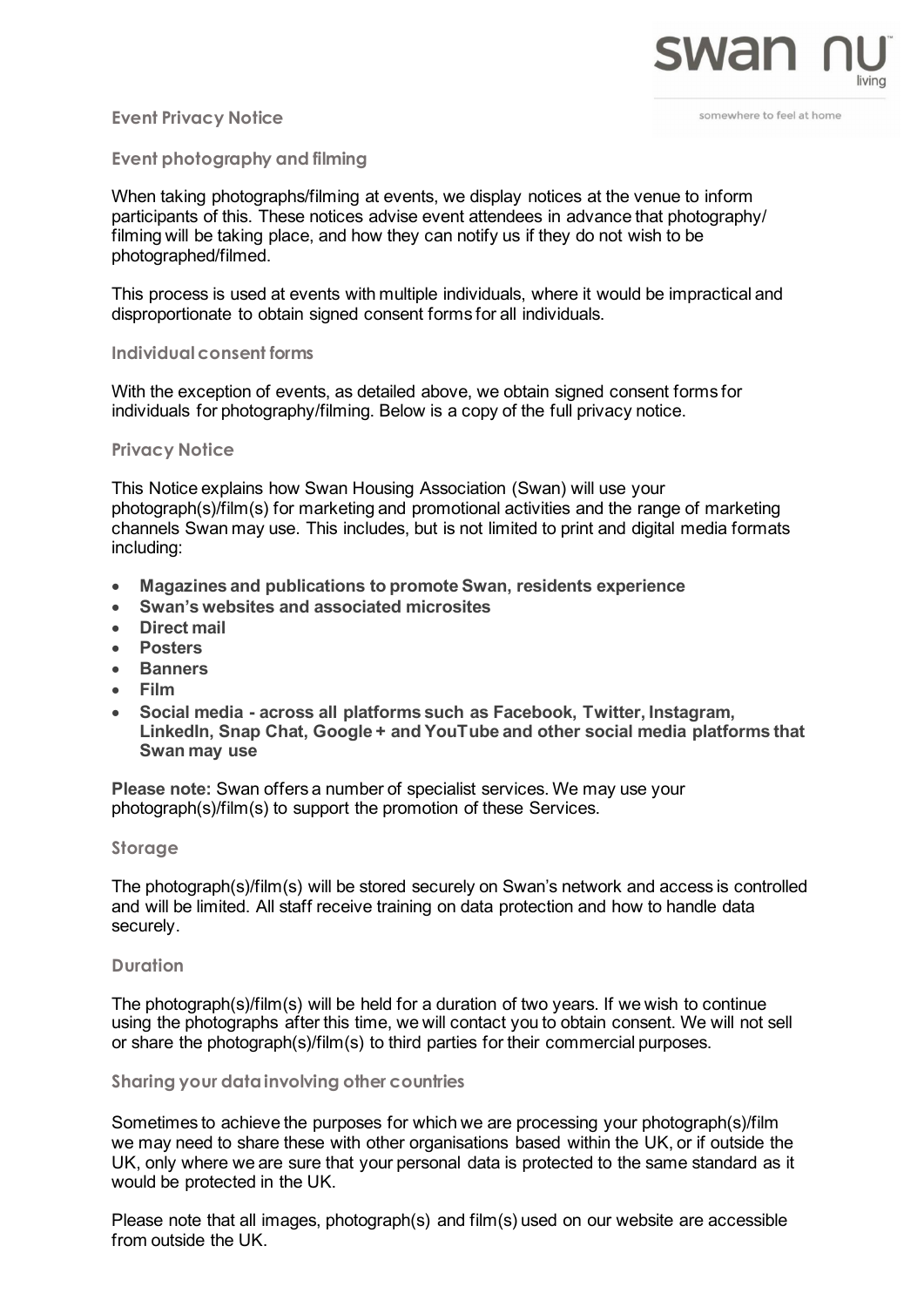

### **Event Privacy Notice**

somewhere to feel at home

# **Event photography and filming**

When taking photographs/filming at events, we display notices at the venue to inform participants of this. These notices advise event attendees in advance that photography/ filming will be taking place, and how they can notify us if they do not wish to be photographed/filmed.

This process is used at events with multiple individuals, where it would be impractical and disproportionate to obtain signed consent forms for all individuals.

### **Individualconsent forms**

With the exception of events, as detailed above, we obtain signed consent forms for individuals for photography/filming. Below is a copy of the full privacy notice.

### **Privacy Notice**

This Notice explains how Swan Housing Association (Swan) will use your photograph(s)/film(s) for marketing and promotional activities and the range of marketing channels Swan may use. This includes, but is not limited to print and digital media formats including:

- **Magazines and publications to promote Swan, residents experience**
- **Swan's websites and associated microsites**
- **Direct mail**
- **Posters**
- **Banners**
- **Film**
- **Social media - across all platforms such as Facebook, Twitter, Instagram, LinkedIn, Snap Chat, Google + and YouTube and other social media platforms that Swan may use**

**Please note:** Swan offers a number of specialist services. We may use your photograph(s)/film(s) to support the promotion of these Services.

# **Storage**

The photograph(s)/film(s) will be stored securely on Swan's network and access is controlled and will be limited. All staff receive training on data protection and how to handle data securely.

### **Duration**

The photograph(s)/film(s) will be held for a duration of two years. If we wish to continue using the photographs after this time, we will contact you to obtain consent. We will not sell or share the photograph(s)/film(s) to third parties for their commercial purposes.

# **Sharing your datainvolving other countries**

Sometimes to achieve the purposes for which we are processing your photograph(s)/film we may need to share these with other organisations based within the UK, or if outside the UK, only where we are sure that your personal data is protected to the same standard as it would be protected in the UK.

Please note that all images, photograph(s) and film(s) used on our website are accessible from outside the UK.